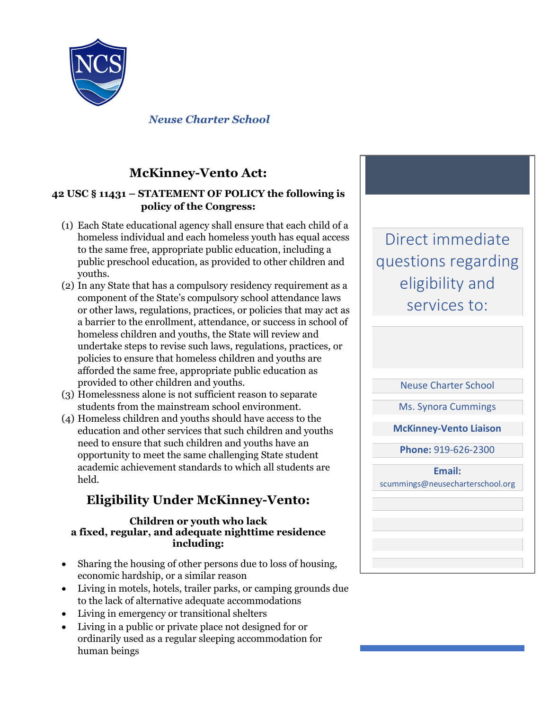

*Neuse Charter School*

### **McKinney-Vento Act:**

#### **42 USC § 11431 – STATEMENT OF POLICY the following is policy of the Congress:**

- (1) Each State educational agency shall ensure that each child of a homeless individual and each homeless youth has equal access to the same free, appropriate public education, including a public preschool education, as provided to other children and youths.
- (2) In any State that has a compulsory residency requirement as a component of the State's compulsory school attendance laws or other laws, regulations, practices, or policies that may act as a barrier to the enrollment, attendance, or success in school of homeless children and youths, the State will review and undertake steps to revise such laws, regulations, practices, or policies to ensure that homeless children and youths are afforded the same free, appropriate public education as provided to other children and youths.
- (3) Homelessness alone is not sufficient reason to separate students from the mainstream school environment.
- (4) Homeless children and youths should have access to the education and other services that such children and youths need to ensure that such children and youths have an opportunity to meet the same challenging State student academic achievement standards to which all students are held.

## **Eligibility Under McKinney-Vento:**

#### **Children or youth who lack a fixed, regular, and adequate nighttime residence including:**

- Sharing the housing of other persons due to loss of housing, economic hardship, or a similar reason
- Living in motels, hotels, trailer parks, or camping grounds due to the lack of alternative adequate accommodations
- Living in emergency or transitional shelters
- Living in a public or private place not designed for or ordinarily used as a regular sleeping accommodation for human beings

Direct immediate questions regarding eligibility and services to:

Neuse Charter School

Ms. Synora Cummings

**McKinney-Vento Liaison**

**Phone:** 919-626-2300

**Email:** scummings@neusecharterschool.org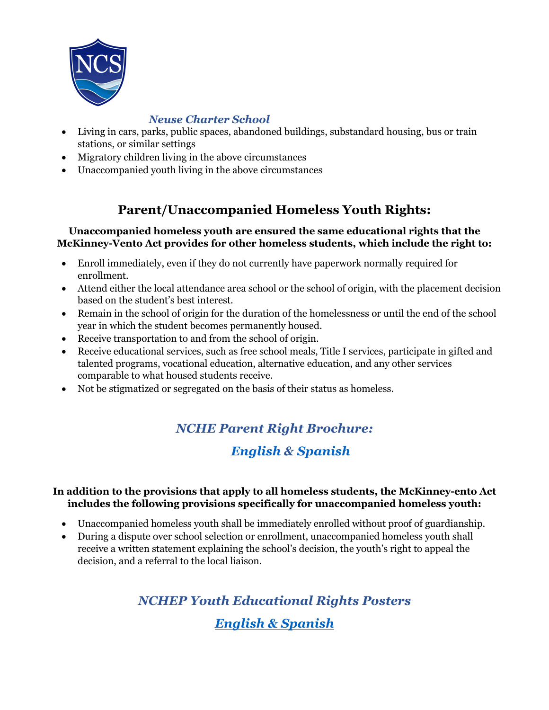

#### *Neuse Charter School*

- Living in cars, parks, public spaces, abandoned buildings, substandard housing, bus or train stations, or similar settings
- Migratory children living in the above circumstances
- Unaccompanied youth living in the above circumstances

### **Parent/Unaccompanied Homeless Youth Rights:**

#### **Unaccompanied homeless youth are ensured the same educational rights that the McKinney-Vento Act provides for other homeless students, which include the right to:**

- Enroll immediately, even if they do not currently have paperwork normally required for enrollment.
- Attend either the local attendance area school or the school of origin, with the placement decision based on the student's best interest.
- Remain in the school of origin for the duration of the homelessness or until the end of the school year in which the student becomes permanently housed.
- Receive transportation to and from the school of origin.
- Receive educational services, such as free school meals, Title I services, participate in gifted and talented programs, vocational education, alternative education, and any other services comparable to what housed students receive.
- Not be stigmatized or segregated on the basis of their status as homeless.

## *NCHE Parent Right Brochure:*

## *English & Spanish*

### **In addition to the provisions that apply to all homeless students, the McKinney-ento Act includes the following provisions specifically for unaccompanied homeless youth:**

- Unaccompanied homeless youth shall be immediately enrolled without proof of guardianship.
- During a dispute over school selection or enrollment, unaccompanied homeless youth shall receive a written statement explaining the school's decision, the youth's right to appeal the decision, and a referral to the local liaison.

# *NCHEP Youth Educational Rights Posters English & Spanish*